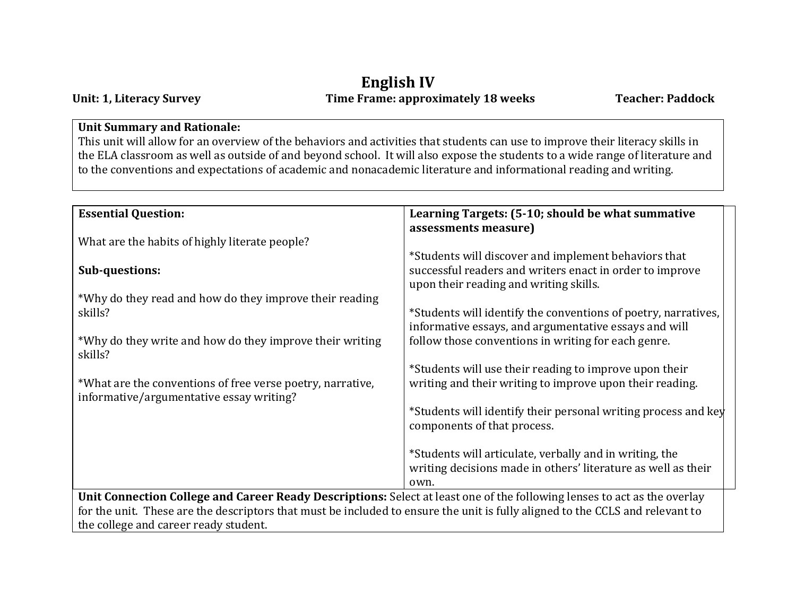## **English IV Unit: 1, Literacy Survey Time Frame: approximately 18 weeks Teacher: Paddock**

#### **Unit Summary and Rationale:**

This unit will allow for an overview of the behaviors and activities that students can use to improve their literacy skills in the ELA classroom as well as outside of and beyond school. It will also expose the students to a wide range of literature and to the conventions and expectations of academic and nonacademic literature and informational reading and writing.

| <b>Essential Question:</b>                                                                                                                                                                                                                                                                         | Learning Targets: (5-10; should be what summative<br>assessments measure)                                                                                  |
|----------------------------------------------------------------------------------------------------------------------------------------------------------------------------------------------------------------------------------------------------------------------------------------------------|------------------------------------------------------------------------------------------------------------------------------------------------------------|
| What are the habits of highly literate people?                                                                                                                                                                                                                                                     |                                                                                                                                                            |
| <b>Sub-questions:</b>                                                                                                                                                                                                                                                                              | *Students will discover and implement behaviors that<br>successful readers and writers enact in order to improve<br>upon their reading and writing skills. |
| *Why do they read and how do they improve their reading                                                                                                                                                                                                                                            |                                                                                                                                                            |
| skills?                                                                                                                                                                                                                                                                                            | *Students will identify the conventions of poetry, narratives,<br>informative essays, and argumentative essays and will                                    |
| *Why do they write and how do they improve their writing<br>skills?                                                                                                                                                                                                                                | follow those conventions in writing for each genre.                                                                                                        |
| *What are the conventions of free verse poetry, narrative,                                                                                                                                                                                                                                         | *Students will use their reading to improve upon their<br>writing and their writing to improve upon their reading.                                         |
| informative/argumentative essay writing?                                                                                                                                                                                                                                                           |                                                                                                                                                            |
|                                                                                                                                                                                                                                                                                                    | *Students will identify their personal writing process and key<br>components of that process.                                                              |
|                                                                                                                                                                                                                                                                                                    | *Students will articulate, verbally and in writing, the<br>writing decisions made in others' literature as well as their<br>own.                           |
| Unit Connection College and Career Ready Descriptions: Select at least one of the following lenses to act as the overlay<br>for the unit. These are the descriptors that must be included to ensure the unit is fully aligned to the CCLS and relevant to<br>the college and career ready student. |                                                                                                                                                            |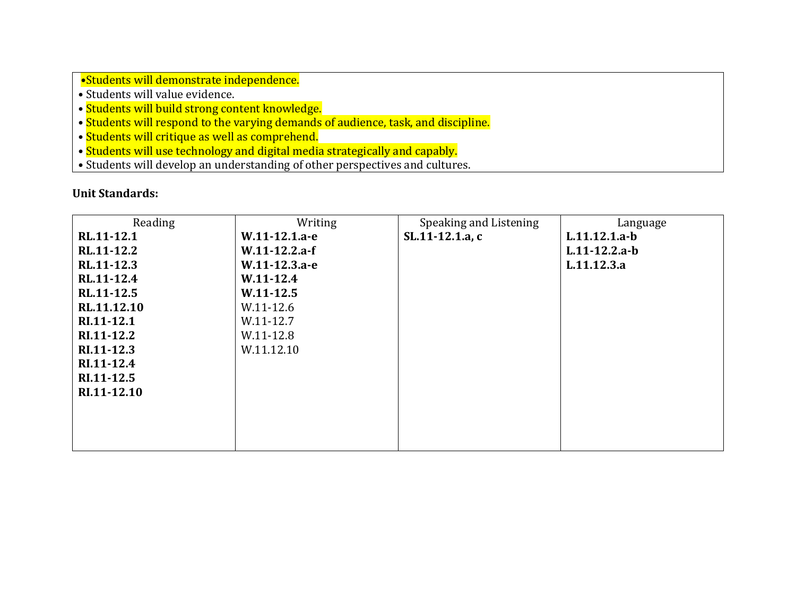•Students will demonstrate independence.

- Students will value evidence.
- Students will build strong content knowledge.
- Students will respond to the varying demands of audience, task, and discipline.
- Students will critique as well as comprehend.
- Students will use technology and digital media strategically and capably.
- Students will develop an understanding of other perspectives and cultures.

| Reading     | Writing         | Speaking and Listening | Language        |
|-------------|-----------------|------------------------|-----------------|
| RL.11-12.1  | W.11-12.1.a-e   | SL.11-12.1.a, c        | L.11.12.1.a-b   |
| RL.11-12.2  | $W.11-12.2.a-f$ |                        | $L.11-12.2.a-b$ |
| RL.11-12.3  | W.11-12.3.a-e   |                        | L.11.12.3.a     |
| RL.11-12.4  | $W.11-12.4$     |                        |                 |
| RL.11-12.5  | $W.11-12.5$     |                        |                 |
| RL.11.12.10 | W.11-12.6       |                        |                 |
| RI.11-12.1  | W.11-12.7       |                        |                 |
| RI.11-12.2  | W.11-12.8       |                        |                 |
| RI.11-12.3  | W.11.12.10      |                        |                 |
| RI.11-12.4  |                 |                        |                 |
| RI.11-12.5  |                 |                        |                 |
| RI.11-12.10 |                 |                        |                 |
|             |                 |                        |                 |
|             |                 |                        |                 |
|             |                 |                        |                 |
|             |                 |                        |                 |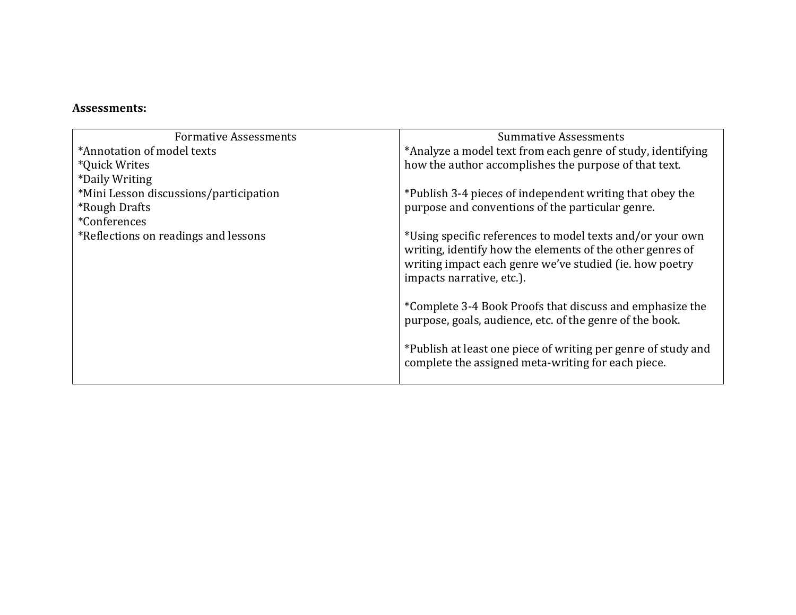| <b>Formative Assessments</b>           | <b>Summative Assessments</b>                                                                                                                                                                                   |
|----------------------------------------|----------------------------------------------------------------------------------------------------------------------------------------------------------------------------------------------------------------|
| *Annotation of model texts             | *Analyze a model text from each genre of study, identifying                                                                                                                                                    |
| *Quick Writes                          | how the author accomplishes the purpose of that text.                                                                                                                                                          |
| *Daily Writing                         |                                                                                                                                                                                                                |
| *Mini Lesson discussions/participation | *Publish 3-4 pieces of independent writing that obey the                                                                                                                                                       |
| <i><b>*Rough Drafts</b></i>            | purpose and conventions of the particular genre.                                                                                                                                                               |
| *Conferences                           |                                                                                                                                                                                                                |
| *Reflections on readings and lessons   | *Using specific references to model texts and/or your own<br>writing, identify how the elements of the other genres of<br>writing impact each genre we've studied (ie. how poetry<br>impacts narrative, etc.). |
|                                        | *Complete 3-4 Book Proofs that discuss and emphasize the<br>purpose, goals, audience, etc. of the genre of the book.                                                                                           |
|                                        | *Publish at least one piece of writing per genre of study and<br>complete the assigned meta-writing for each piece.                                                                                            |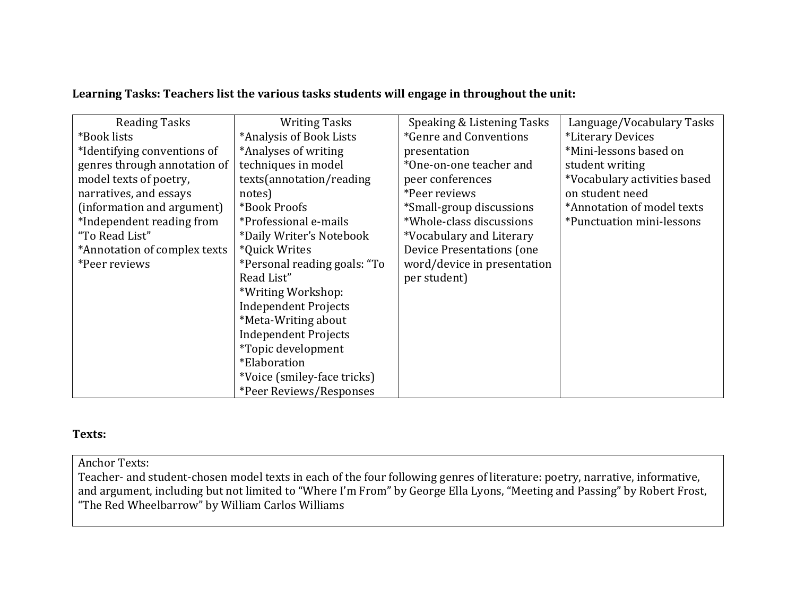#### **Learning Tasks: Teachers list the various tasks students will engage in throughout the unit:**

| <b>Reading Tasks</b>         | <b>Writing Tasks</b>         | Speaking & Listening Tasks       | Language/Vocabulary Tasks        |
|------------------------------|------------------------------|----------------------------------|----------------------------------|
| *Book lists                  | *Analysis of Book Lists      | *Genre and Conventions           | *Literary Devices                |
| *Identifying conventions of  | *Analyses of writing         | presentation                     | *Mini-lessons based on           |
| genres through annotation of | techniques in model          | *One-on-one teacher and          | student writing                  |
| model texts of poetry,       | texts(annotation/reading     | peer conferences                 | *Vocabulary activities based     |
| narratives, and essays       | notes)                       | *Peer reviews                    | on student need                  |
| (information and argument)   | *Book Proofs                 | *Small-group discussions         | *Annotation of model texts       |
| *Independent reading from    | *Professional e-mails        | *Whole-class discussions         | <i>*Punctuation mini-lessons</i> |
| "To Read List"               | *Daily Writer's Notebook     | *Vocabulary and Literary         |                                  |
| *Annotation of complex texts | *Quick Writes                | <b>Device Presentations (one</b> |                                  |
| *Peer reviews                | *Personal reading goals: "To | word/device in presentation      |                                  |
|                              | Read List"                   | per student)                     |                                  |
|                              | *Writing Workshop:           |                                  |                                  |
|                              | <b>Independent Projects</b>  |                                  |                                  |
|                              | *Meta-Writing about          |                                  |                                  |
|                              | <b>Independent Projects</b>  |                                  |                                  |
|                              | *Topic development           |                                  |                                  |
|                              | <i>*Elaboration</i>          |                                  |                                  |
|                              | *Voice (smiley-face tricks)  |                                  |                                  |
|                              | *Peer Reviews/Responses      |                                  |                                  |

#### **Texts:**

Anchor Texts:

Teacher- and student-chosen model texts in each of the four following genres of literature: poetry, narrative, informative, and argument, including but not limited to "Where I'm From" by George Ella Lyons, "Meeting and Passing" by Robert Frost, "The Red Wheelbarrow" by William Carlos Williams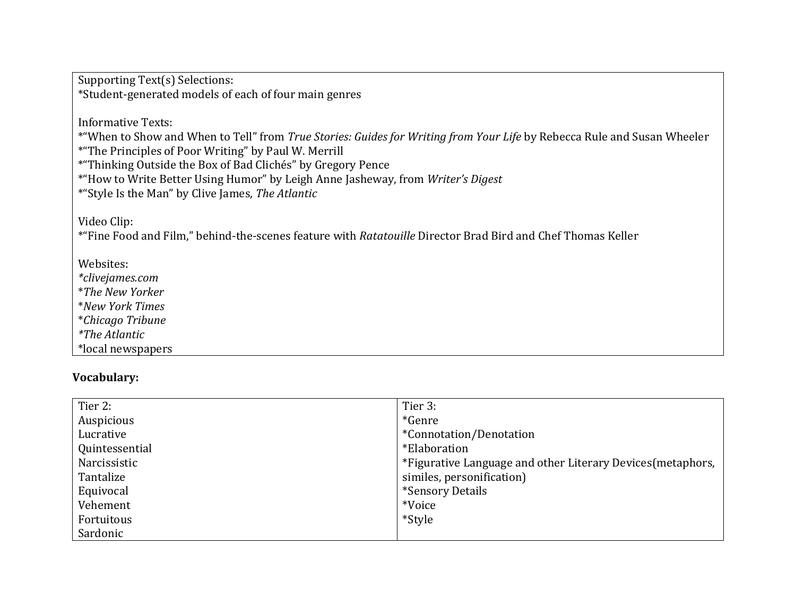Supporting Text(s) Selections: \*Student-generated models of each of four main genres

Informative Texts:

\*"When to Show and When to Tell" from *True Stories: Guides for Writing from Your Life* by Rebecca Rule and Susan Wheeler \*"The Principles of Poor Writing" by Paul W. Merrill

\*"Thinking Outside the Box of Bad Clichés" by Gregory Pence

\*"How to Write Better Using Humor" by Leigh Anne Jasheway, from *Writer's Digest*

\*"Style Is the Man" by Clive James, *The Atlantic*

Video Clip:

\*"Fine Food and Film," behind-the-scenes feature with *Ratatouille* Director Brad Bird and Chef Thomas Keller

Websites:

*\*clivejames.com* \**The New Yorker*

\**New York Times*

\**Chicago Tribune*

*\*The Atlantic*

\*local newspapers

#### **Vocabulary:**

| Tier 2:        | Tier 3:                                                     |
|----------------|-------------------------------------------------------------|
| Auspicious     | *Genre                                                      |
| Lucrative      | *Connotation/Denotation                                     |
| Quintessential | *Elaboration                                                |
| Narcissistic   | *Figurative Language and other Literary Devices (metaphors, |
| Tantalize      | similes, personification)                                   |
| Equivocal      | *Sensory Details                                            |
| Vehement       | *Voice                                                      |
| Fortuitous     | *Style                                                      |
| Sardonic       |                                                             |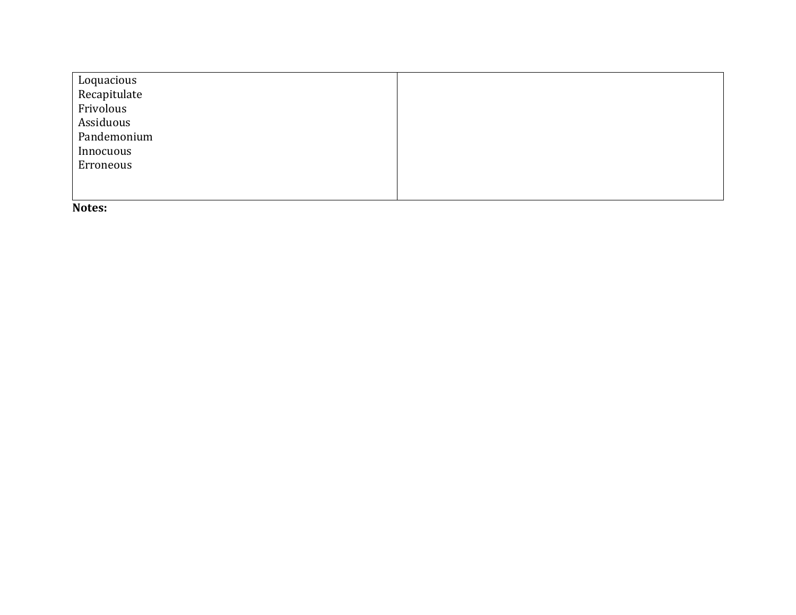| Loquacious   |  |
|--------------|--|
| Recapitulate |  |
| Frivolous    |  |
| Assiduous    |  |
| Pandemonium  |  |
| Innocuous    |  |
| Erroneous    |  |
|              |  |
|              |  |

**Notes:**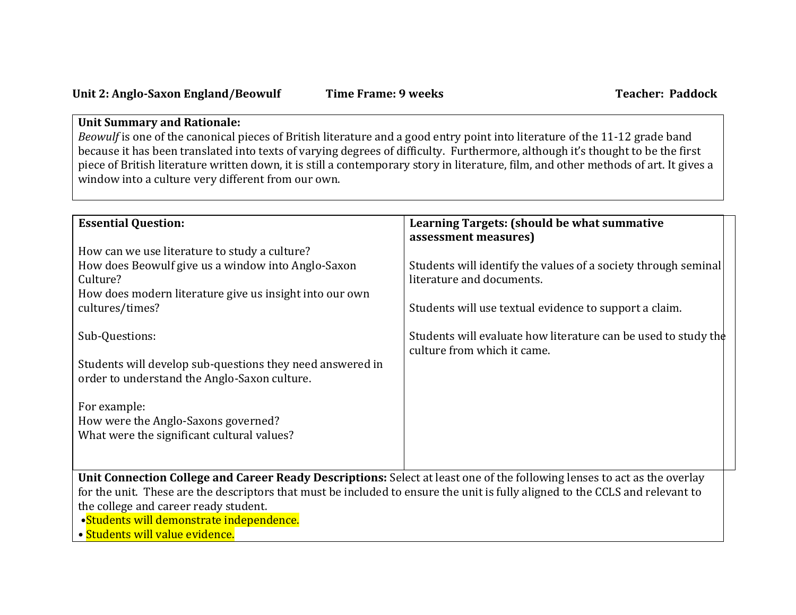### **Unit Summary and Rationale:**

*Beowulf* is one of the canonical pieces of British literature and a good entry point into literature of the 11-12 grade band because it has been translated into texts of varying degrees of difficulty. Furthermore, although it's thought to be the first piece of British literature written down, it is still a contemporary story in literature, film, and other methods of art. It gives a window into a culture very different from our own.

| <b>Essential Question:</b>                                                                                                    | Learning Targets: (should be what summative                    |  |
|-------------------------------------------------------------------------------------------------------------------------------|----------------------------------------------------------------|--|
|                                                                                                                               | assessment measures)                                           |  |
| How can we use literature to study a culture?                                                                                 |                                                                |  |
| How does Beowulf give us a window into Anglo-Saxon                                                                            | Students will identify the values of a society through seminal |  |
| Culture?                                                                                                                      | literature and documents.                                      |  |
| How does modern literature give us insight into our own                                                                       |                                                                |  |
| cultures/times?                                                                                                               | Students will use textual evidence to support a claim.         |  |
|                                                                                                                               |                                                                |  |
| Sub-Questions:                                                                                                                | Students will evaluate how literature can be used to study the |  |
|                                                                                                                               | culture from which it came.                                    |  |
| Students will develop sub-questions they need answered in                                                                     |                                                                |  |
| order to understand the Anglo-Saxon culture.                                                                                  |                                                                |  |
| For example:                                                                                                                  |                                                                |  |
| How were the Anglo-Saxons governed?                                                                                           |                                                                |  |
| What were the significant cultural values?                                                                                    |                                                                |  |
|                                                                                                                               |                                                                |  |
|                                                                                                                               |                                                                |  |
| Unit Connection College and Career Ready Descriptions: Select at least one of the following lenses to act as the overlay      |                                                                |  |
| for the unit. These are the descriptors that must be included to ensure the unit is fully aligned to the CCLS and relevant to |                                                                |  |
| the college and career ready student.                                                                                         |                                                                |  |
| •Students will demonstrate independence.                                                                                      |                                                                |  |
| • Students will value evidence.                                                                                               |                                                                |  |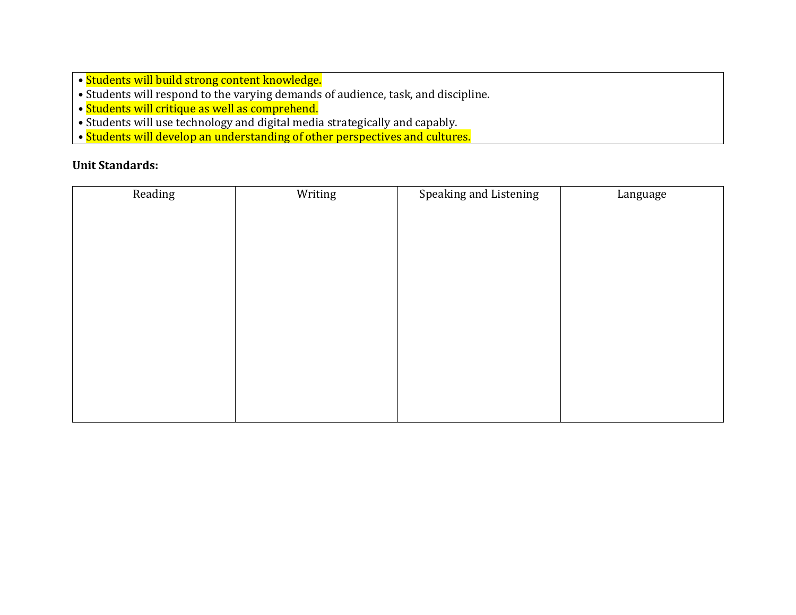- Students will build strong content knowledge.
- Students will respond to the varying demands of audience, task, and discipline.
- Students will critique as well as comprehend.
- Students will use technology and digital media strategically and capably.
- Students will develop an understanding of other perspectives and cultures.

| Reading | Writing | Speaking and Listening | Language |
|---------|---------|------------------------|----------|
|         |         |                        |          |
|         |         |                        |          |
|         |         |                        |          |
|         |         |                        |          |
|         |         |                        |          |
|         |         |                        |          |
|         |         |                        |          |
|         |         |                        |          |
|         |         |                        |          |
|         |         |                        |          |
|         |         |                        |          |
|         |         |                        |          |
|         |         |                        |          |
|         |         |                        |          |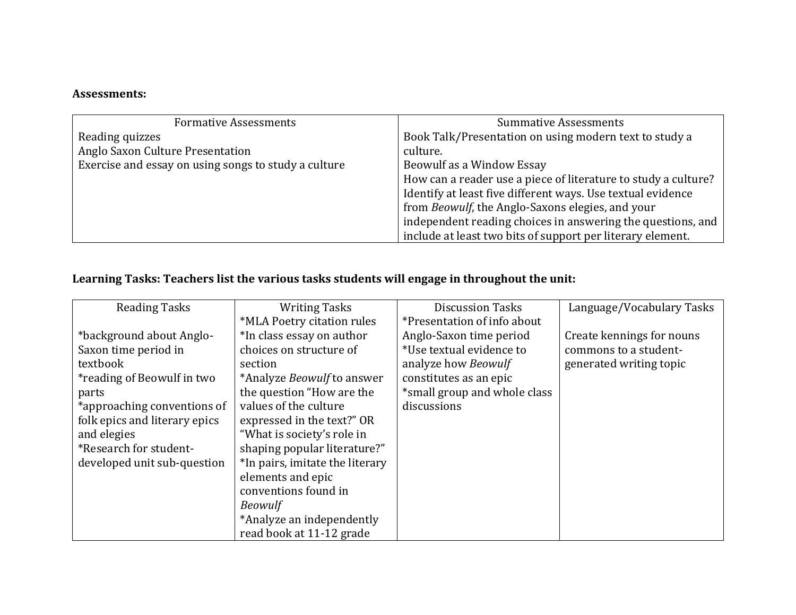| <b>Formative Assessments</b>                         | <b>Summative Assessments</b>                                   |
|------------------------------------------------------|----------------------------------------------------------------|
| Reading quizzes                                      | Book Talk/Presentation on using modern text to study a         |
| Anglo Saxon Culture Presentation                     | culture.                                                       |
| Exercise and essay on using songs to study a culture | Beowulf as a Window Essay                                      |
|                                                      | How can a reader use a piece of literature to study a culture? |
|                                                      | Identify at least five different ways. Use textual evidence    |
|                                                      | from Beowulf, the Anglo-Saxons elegies, and your               |
|                                                      | independent reading choices in answering the questions, and    |
|                                                      | include at least two bits of support per literary element.     |

# **Learning Tasks: Teachers list the various tasks students will engage in throughout the unit:**

| <b>Reading Tasks</b>          | <b>Writing Tasks</b>              | <b>Discussion Tasks</b>      | Language/Vocabulary Tasks |
|-------------------------------|-----------------------------------|------------------------------|---------------------------|
|                               | *MLA Poetry citation rules        | *Presentation of info about  |                           |
| *background about Anglo-      | *In class essay on author         | Anglo-Saxon time period      | Create kennings for nouns |
| Saxon time period in          | choices on structure of           | *Use textual evidence to     | commons to a student-     |
| textbook                      | section                           | analyze how Beowulf          | generated writing topic   |
| *reading of Beowulf in two    | *Analyze <i>Beowulf</i> to answer | constitutes as an epic       |                           |
| parts                         | the question "How are the         | *small group and whole class |                           |
| *approaching conventions of   | values of the culture             | discussions                  |                           |
| folk epics and literary epics | expressed in the text?" OR        |                              |                           |
| and elegies                   | "What is society's role in        |                              |                           |
| *Research for student-        | shaping popular literature?"      |                              |                           |
| developed unit sub-question   | *In pairs, imitate the literary   |                              |                           |
|                               | elements and epic                 |                              |                           |
|                               | conventions found in              |                              |                           |
|                               | <b>Beowulf</b>                    |                              |                           |
|                               | *Analyze an independently         |                              |                           |
|                               | read book at 11-12 grade          |                              |                           |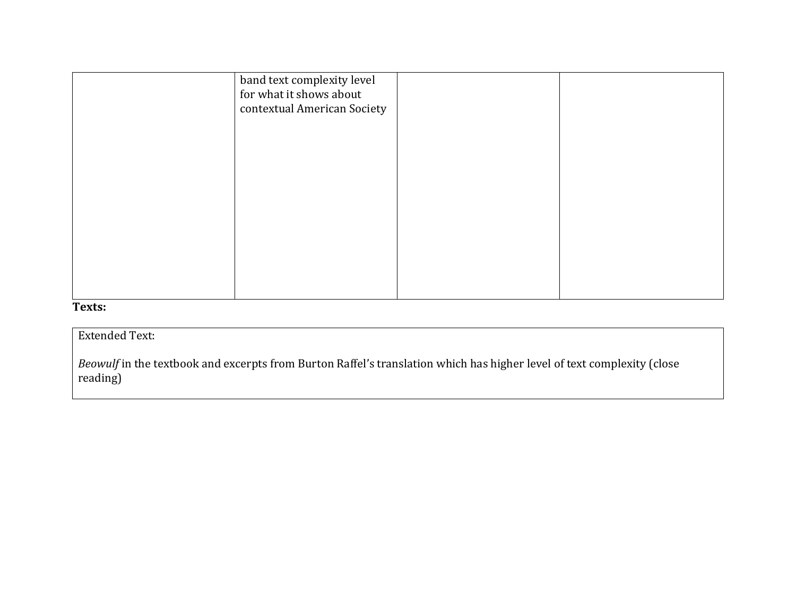| band text complexity level<br>for what it shows about<br>contextual American Society |  |
|--------------------------------------------------------------------------------------|--|
|                                                                                      |  |
|                                                                                      |  |
|                                                                                      |  |
|                                                                                      |  |
|                                                                                      |  |

#### **Texts:**

#### Extended Text:

*Beowulf* in the textbook and excerpts from Burton Raffel's translation which has higher level of text complexity (close reading)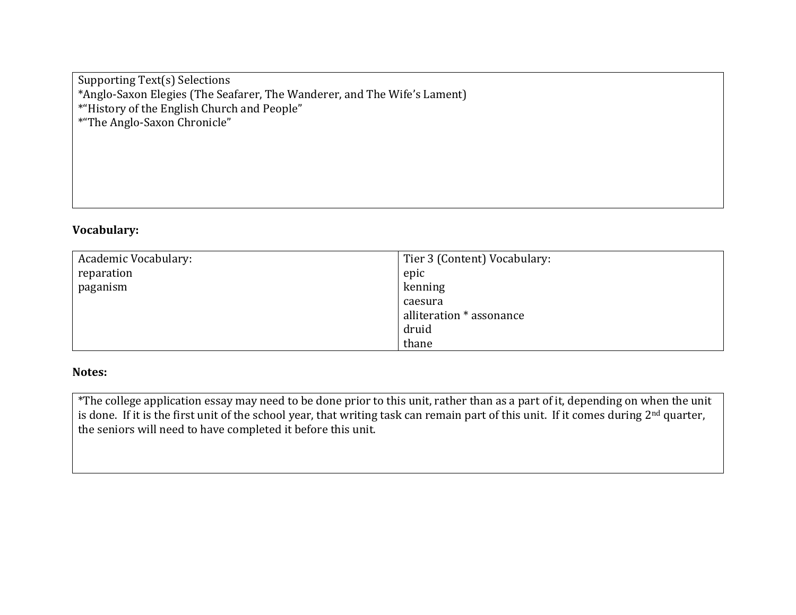Supporting Text(s) Selections \*Anglo-Saxon Elegies (The Seafarer, The Wanderer, and The Wife's Lament) \*"History of the English Church and People" \*"The Anglo-Saxon Chronicle"

#### **Vocabulary:**

| Academic Vocabulary: | Tier 3 (Content) Vocabulary: |
|----------------------|------------------------------|
| reparation           | epic                         |
| paganism             | kenning                      |
|                      | caesura                      |
|                      | alliteration * assonance     |
|                      | druid                        |
|                      | thane                        |

#### **Notes:**

\*The college application essay may need to be done prior to this unit, rather than as a part of it, depending on when the unit is done. If it is the first unit of the school year, that writing task can remain part of this unit. If it comes during 2<sup>nd</sup> quarter, the seniors will need to have completed it before this unit.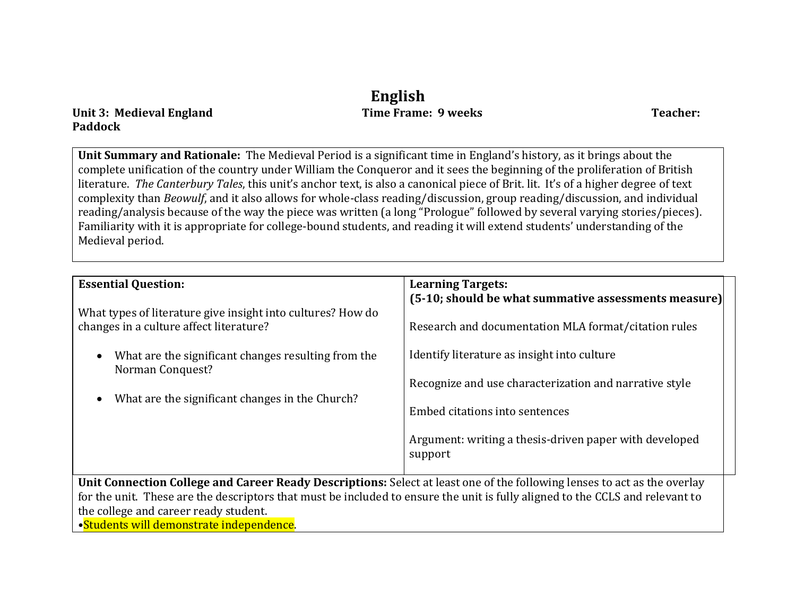# **English**

Unit 3: Medieval England **Time Frame: 9 weeks Teacher: Teacher: Teacher: Teacher: Teacher: Teacher: Teacher: Teacher: Teacher: Teacher: Teacher: Teacher: Teacher: Teacher: Teacher: Teacher: Paddock**

**Unit Summary and Rationale:** The Medieval Period is a significant time in England's history, as it brings about the complete unification of the country under William the Conqueror and it sees the beginning of the proliferation of British literature. *The Canterbury Tales*, this unit's anchor text, is also a canonical piece of Brit. lit. It's of a higher degree of text complexity than *Beowulf*, and it also allows for whole-class reading/discussion, group reading/discussion, and individual reading/analysis because of the way the piece was written (a long "Prologue" followed by several varying stories/pieces). Familiarity with it is appropriate for college-bound students, and reading it will extend students' understanding of the Medieval period.

| <b>Essential Question:</b><br>What types of literature give insight into cultures? How do<br>changes in a culture affect literature?<br>What are the significant changes resulting from the<br>Norman Conquest?<br>What are the significant changes in the Church?                                                                             | <b>Learning Targets:</b><br>(5-10; should be what summative assessments measure)<br>Research and documentation MLA format/citation rules<br>Identify literature as insight into culture<br>Recognize and use characterization and narrative style<br>Embed citations into sentences<br>Argument: writing a thesis-driven paper with developed<br>support |
|------------------------------------------------------------------------------------------------------------------------------------------------------------------------------------------------------------------------------------------------------------------------------------------------------------------------------------------------|----------------------------------------------------------------------------------------------------------------------------------------------------------------------------------------------------------------------------------------------------------------------------------------------------------------------------------------------------------|
| Unit Connection College and Career Ready Descriptions: Select at least one of the following lenses to act as the overlay<br>for the unit. These are the descriptors that must be included to ensure the unit is fully aligned to the CCLS and relevant to<br>the college and career ready student.<br>•Students will demonstrate independence. |                                                                                                                                                                                                                                                                                                                                                          |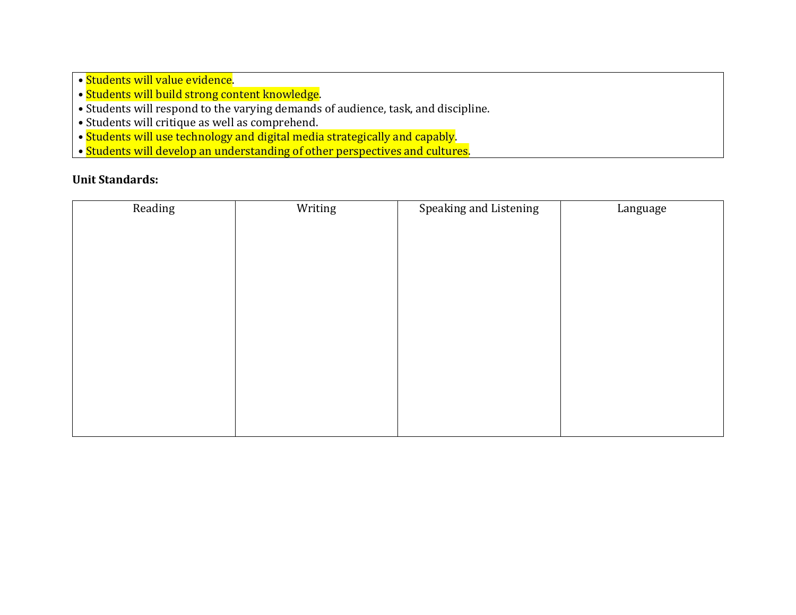- Students will value evidence.
- Students will build strong content knowledge.
- Students will respond to the varying demands of audience, task, and discipline.
- Students will critique as well as comprehend.
- Students will use technology and digital media strategically and capably.
- Students will develop an understanding of other perspectives and cultures.

| Reading | Writing | Speaking and Listening | Language |
|---------|---------|------------------------|----------|
|         |         |                        |          |
|         |         |                        |          |
|         |         |                        |          |
|         |         |                        |          |
|         |         |                        |          |
|         |         |                        |          |
|         |         |                        |          |
|         |         |                        |          |
|         |         |                        |          |
|         |         |                        |          |
|         |         |                        |          |
|         |         |                        |          |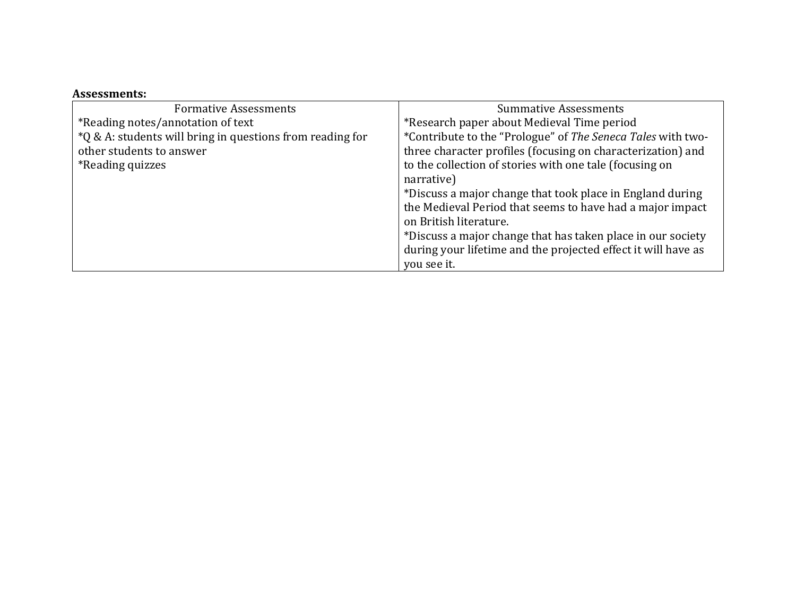| <b>Formative Assessments</b>                              | <b>Summative Assessments</b>                                          |
|-----------------------------------------------------------|-----------------------------------------------------------------------|
| *Reading notes/annotation of text                         | *Research paper about Medieval Time period                            |
| *Q & A: students will bring in questions from reading for | *Contribute to the "Prologue" of The Seneca Tales with two-           |
| other students to answer                                  | three character profiles (focusing on characterization) and           |
| <i><b>*Reading quizzes</b></i>                            | to the collection of stories with one tale (focusing on<br>narrative) |
|                                                           |                                                                       |
|                                                           | *Discuss a major change that took place in England during             |
|                                                           | the Medieval Period that seems to have had a major impact             |
|                                                           | on British literature.                                                |
|                                                           | *Discuss a major change that has taken place in our society           |
|                                                           | during your lifetime and the projected effect it will have as         |
|                                                           | you see it.                                                           |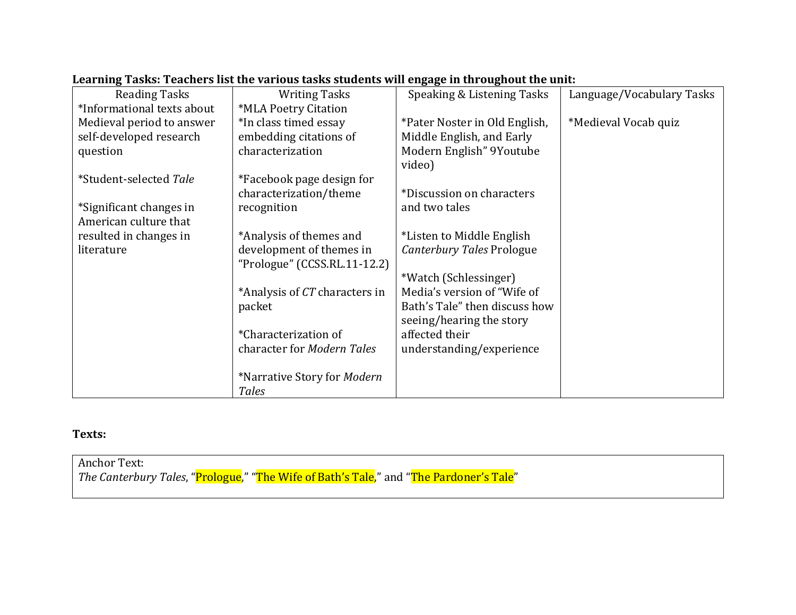| <b>Reading Tasks</b>       | <b>Writing Tasks</b>          | Speaking & Listening Tasks    | Language/Vocabulary Tasks |
|----------------------------|-------------------------------|-------------------------------|---------------------------|
| *Informational texts about | *MLA Poetry Citation          |                               |                           |
| Medieval period to answer  | *In class timed essay         | *Pater Noster in Old English, | *Medieval Vocab quiz      |
| self-developed research    | embedding citations of        | Middle English, and Early     |                           |
| question                   | characterization              | Modern English" 9Youtube      |                           |
|                            |                               | video)                        |                           |
| *Student-selected Tale     | *Facebook page design for     |                               |                           |
|                            | characterization/theme        | *Discussion on characters     |                           |
| *Significant changes in    | recognition                   | and two tales                 |                           |
| American culture that      |                               |                               |                           |
| resulted in changes in     | *Analysis of themes and       | *Listen to Middle English     |                           |
| literature                 | development of themes in      | Canterbury Tales Prologue     |                           |
|                            | "Prologue" (CCSS.RL.11-12.2)  |                               |                           |
|                            |                               | *Watch (Schlessinger)         |                           |
|                            | *Analysis of CT characters in | Media's version of "Wife of   |                           |
|                            | packet                        | Bath's Tale" then discuss how |                           |
|                            |                               | seeing/hearing the story      |                           |
|                            | *Characterization of          | affected their                |                           |
|                            | character for Modern Tales    | understanding/experience      |                           |
|                            |                               |                               |                           |
|                            | *Narrative Story for Modern   |                               |                           |
|                            | Tales                         |                               |                           |

## **Learning Tasks: Teachers list the various tasks students will engage in throughout the unit:**

#### **Texts:**

Anchor Text: *The Canterbury Tales*, "Prologue," "The Wife of Bath's Tale," and "The Pardoner's Tale"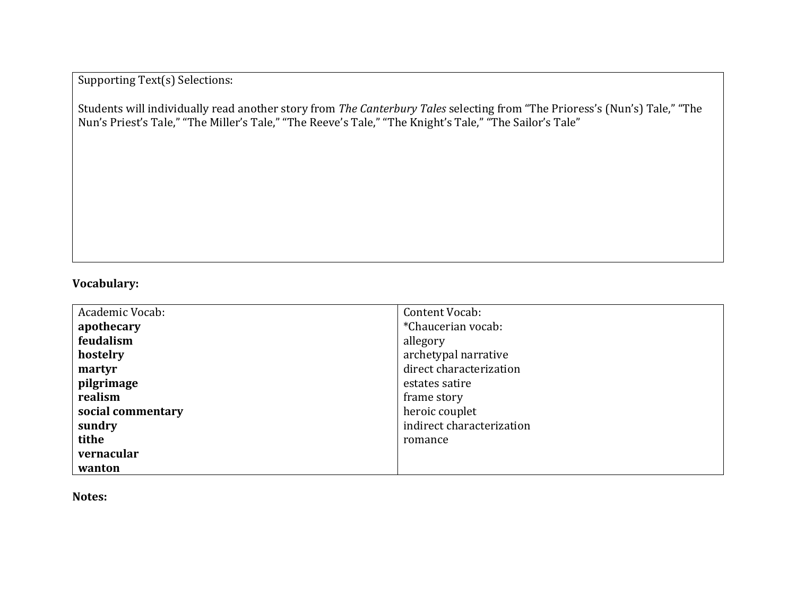Supporting Text(s) Selections:

Students will individually read another story from *The Canterbury Tales* selecting from "The Prioress's (Nun's) Tale," "The Nun's Priest's Tale," "The Miller's Tale," "The Reeve's Tale," "The Knight's Tale," "The Sailor's Tale"

# **Vocabulary:**

| Academic Vocab:   | Content Vocab:            |
|-------------------|---------------------------|
| apothecary        | *Chaucerian vocab:        |
| feudalism         | allegory                  |
| hostelry          | archetypal narrative      |
| martyr            | direct characterization   |
| pilgrimage        | estates satire            |
| realism           | frame story               |
| social commentary | heroic couplet            |
| sundry            | indirect characterization |
| tithe             | romance                   |
| vernacular        |                           |
| wanton            |                           |

**Notes:**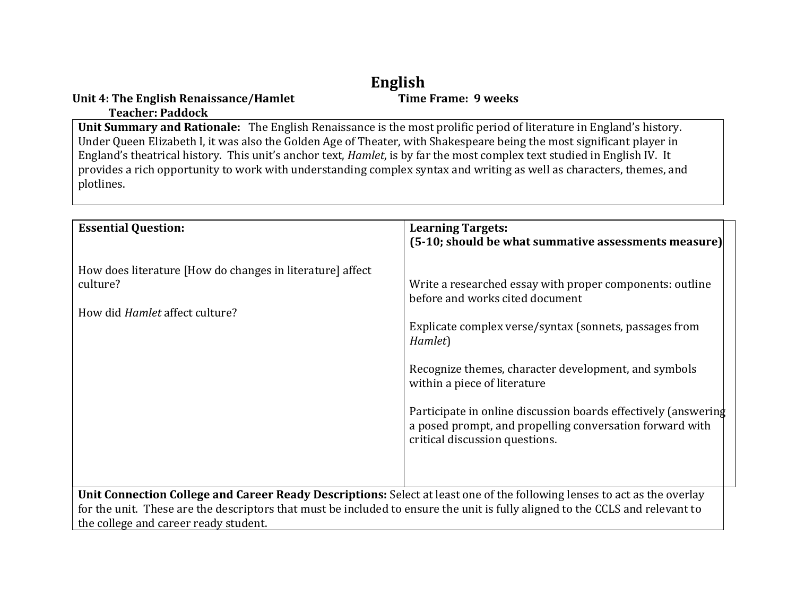# **English**

#### **Unit 4: The English Renaissance/Hamlet Teacher: Paddock**

**Unit Summary and Rationale:** The English Renaissance is the most prolific period of literature in England's history. Under Queen Elizabeth I, it was also the Golden Age of Theater, with Shakespeare being the most significant player in England's theatrical history. This unit's anchor text, *Hamlet*, is by far the most complex text studied in English IV. It provides a rich opportunity to work with understanding complex syntax and writing as well as characters, themes, and plotlines.

| <b>Essential Question:</b>                                                                                                                                                                                                                                                                         | <b>Learning Targets:</b><br>(5-10; should be what summative assessments measure)                                                                                                                                                                                                                                                                                                                                         |  |
|----------------------------------------------------------------------------------------------------------------------------------------------------------------------------------------------------------------------------------------------------------------------------------------------------|--------------------------------------------------------------------------------------------------------------------------------------------------------------------------------------------------------------------------------------------------------------------------------------------------------------------------------------------------------------------------------------------------------------------------|--|
| How does literature [How do changes in literature] affect<br>culture?<br>How did <i>Hamlet</i> affect culture?                                                                                                                                                                                     | Write a researched essay with proper components: outline<br>before and works cited document<br>Explicate complex verse/syntax (sonnets, passages from<br>Hamlet)<br>Recognize themes, character development, and symbols<br>within a piece of literature<br>Participate in online discussion boards effectively (answering<br>a posed prompt, and propelling conversation forward with<br>critical discussion questions. |  |
| Unit Connection College and Career Ready Descriptions: Select at least one of the following lenses to act as the overlay<br>for the unit. These are the descriptors that must be included to ensure the unit is fully aligned to the CCLS and relevant to<br>the college and career ready student. |                                                                                                                                                                                                                                                                                                                                                                                                                          |  |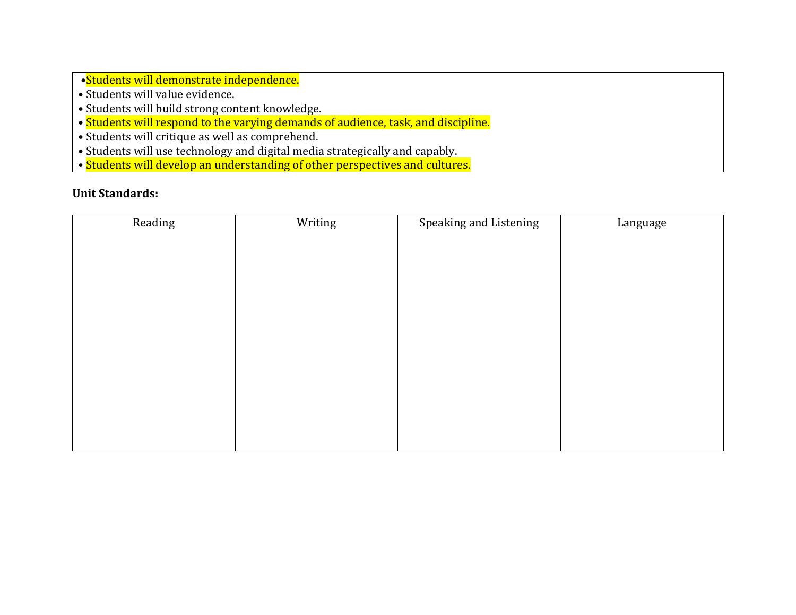•Students will demonstrate independence.

- Students will value evidence.
- Students will build strong content knowledge.
- Students will respond to the varying demands of audience, task, and discipline.
- Students will critique as well as comprehend.
- Students will use technology and digital media strategically and capably.
- Students will develop an understanding of other perspectives and cultures.

| Reading | Writing | Speaking and Listening | Language |
|---------|---------|------------------------|----------|
|         |         |                        |          |
|         |         |                        |          |
|         |         |                        |          |
|         |         |                        |          |
|         |         |                        |          |
|         |         |                        |          |
|         |         |                        |          |
|         |         |                        |          |
|         |         |                        |          |
|         |         |                        |          |
|         |         |                        |          |
|         |         |                        |          |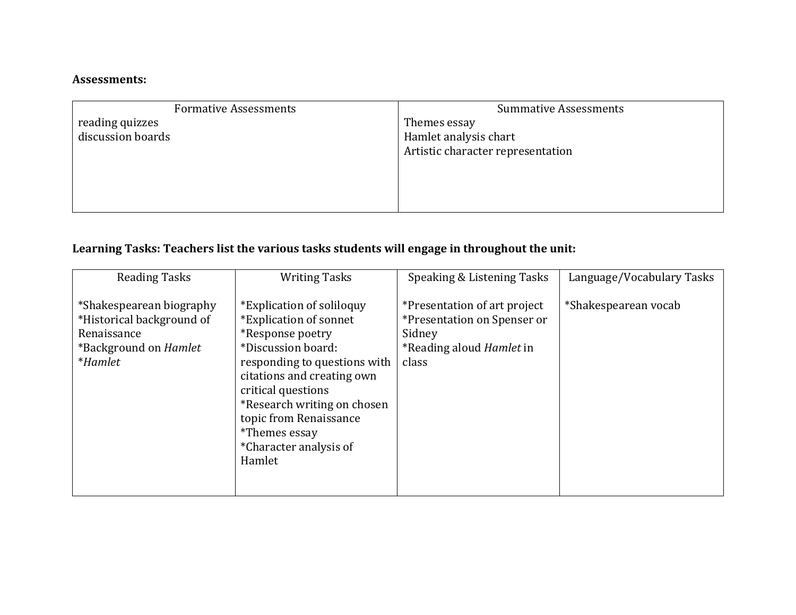| <b>Formative Assessments</b> | <b>Summative Assessments</b>      |
|------------------------------|-----------------------------------|
| reading quizzes              | Themes essay                      |
| discussion boards            | Hamlet analysis chart             |
|                              | Artistic character representation |
|                              |                                   |
|                              |                                   |
|                              |                                   |
|                              |                                   |

# **Learning Tasks: Teachers list the various tasks students will engage in throughout the unit:**

| <b>Reading Tasks</b>                                                                                                   | <b>Writing Tasks</b>                                                                                                                                                                                                                                                                                   | Speaking & Listening Tasks                                                                                        | Language/Vocabulary Tasks |
|------------------------------------------------------------------------------------------------------------------------|--------------------------------------------------------------------------------------------------------------------------------------------------------------------------------------------------------------------------------------------------------------------------------------------------------|-------------------------------------------------------------------------------------------------------------------|---------------------------|
| *Shakespearean biography<br>*Historical background of<br>Renaissance<br>*Background on <i>Hamlet</i><br><i>*Hamlet</i> | *Explication of soliloguy<br>*Explication of sonnet<br>*Response poetry<br>*Discussion board:<br>responding to questions with<br>citations and creating own<br>critical questions<br>*Research writing on chosen<br>topic from Renaissance<br><i>*Themes essay</i><br>*Character analysis of<br>Hamlet | *Presentation of art project<br>*Presentation on Spenser or<br>Sidney<br>*Reading aloud <i>Hamlet</i> in<br>class | *Shakespearean vocab      |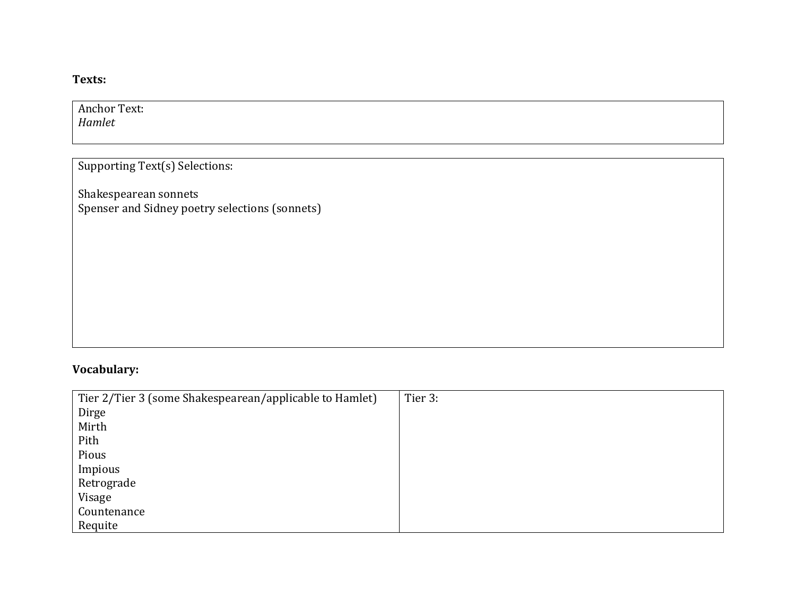### **Texts:**

Anchor Text: *Hamlet*

Supporting Text(s) Selections:

Shakespearean sonnets Spenser and Sidney poetry selections (sonnets)

# **Vocabulary:**

| Tier 2/Tier 3 (some Shakespearean/applicable to Hamlet) | Tier 3: |
|---------------------------------------------------------|---------|
| Dirge                                                   |         |
| Mirth                                                   |         |
| Pith                                                    |         |
| Pious                                                   |         |
| Impious                                                 |         |
| Retrograde                                              |         |
| Visage                                                  |         |
| Countenance                                             |         |
| Requite                                                 |         |